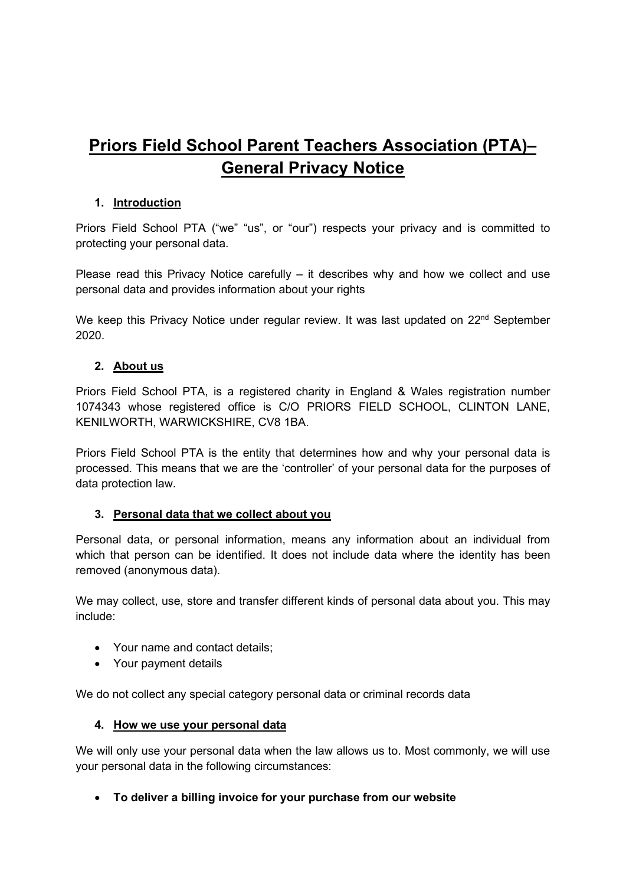# **Priors Field School Parent Teachers Association (PTA)– General Privacy Notice**

# **1. Introduction**

Priors Field School PTA ("we" "us", or "our") respects your privacy and is committed to protecting your personal data.

Please read this Privacy Notice carefully – it describes why and how we collect and use personal data and provides information about your rights

We keep this Privacy Notice under regular review. It was last updated on 22<sup>nd</sup> September 2020.

# **2. About us**

Priors Field School PTA, is a registered charity in England & Wales registration number 1074343 whose registered office is C/O PRIORS FIELD SCHOOL, CLINTON LANE, KENILWORTH, WARWICKSHIRE, CV8 1BA.

Priors Field School PTA is the entity that determines how and why your personal data is processed. This means that we are the 'controller' of your personal data for the purposes of data protection law.

#### **3. Personal data that we collect about you**

Personal data, or personal information, means any information about an individual from which that person can be identified. It does not include data where the identity has been removed (anonymous data).

We may collect, use, store and transfer different kinds of personal data about you. This may include:

- Your name and contact details;
- Your payment details

We do not collect any special category personal data or criminal records data

#### **4. How we use your personal data**

We will only use your personal data when the law allows us to. Most commonly, we will use your personal data in the following circumstances:

• **To deliver a billing invoice for your purchase from our website**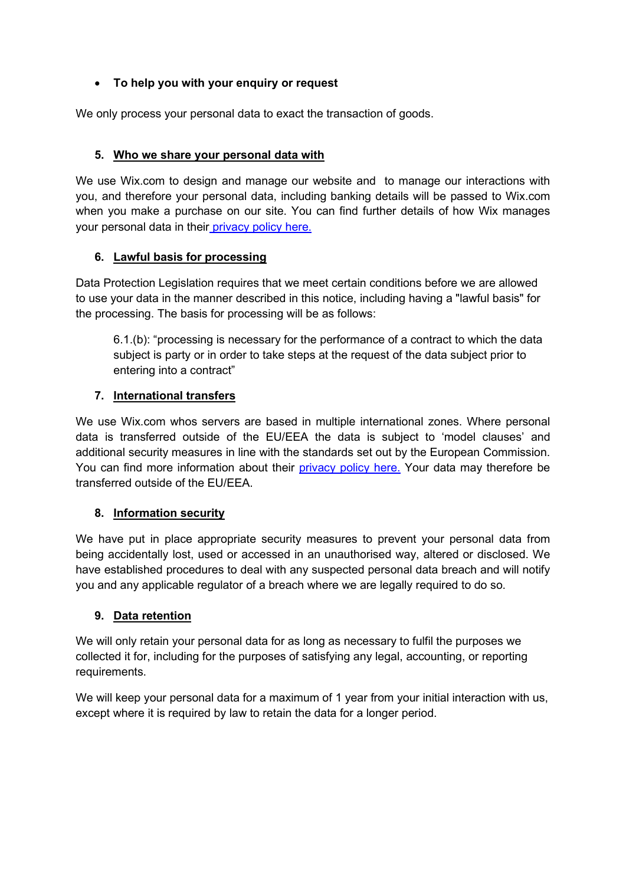# • **To help you with your enquiry or request**

We only process your personal data to exact the transaction of goods.

# **5. Who we share your personal data with**

We use Wix.com to design and manage our website and to manage our interactions with you, and therefore your personal data, including banking details will be passed to Wix.com when you make a purchase on our site. You can find further details of how Wix manages your personal data in their [privacy policy here.](https://www.wix.com/about/privacy)

# **6. Lawful basis for processing**

Data Protection Legislation requires that we meet certain conditions before we are allowed to use your data in the manner described in this notice, including having a "lawful basis" for the processing. The basis for processing will be as follows:

6.1.(b): "processing is necessary for the performance of a contract to which the data subject is party or in order to take steps at the request of the data subject prior to entering into a contract"

# **7. International transfers**

We use Wix.com whos servers are based in multiple international zones. Where personal data is transferred outside of the EU/EEA the data is subject to 'model clauses' and additional security measures in line with the standards set out by the European Commission. You can find more information about their [privacy policy here.](https://www.wix.com/about/privacy) Your data may therefore be transferred outside of the EU/EEA.

# **8. Information security**

We have put in place appropriate security measures to prevent your personal data from being accidentally lost, used or accessed in an unauthorised way, altered or disclosed. We have established procedures to deal with any suspected personal data breach and will notify you and any applicable regulator of a breach where we are legally required to do so.

# **9. Data retention**

We will only retain your personal data for as long as necessary to fulfil the purposes we collected it for, including for the purposes of satisfying any legal, accounting, or reporting requirements.

We will keep your personal data for a maximum of 1 year from your initial interaction with us, except where it is required by law to retain the data for a longer period.